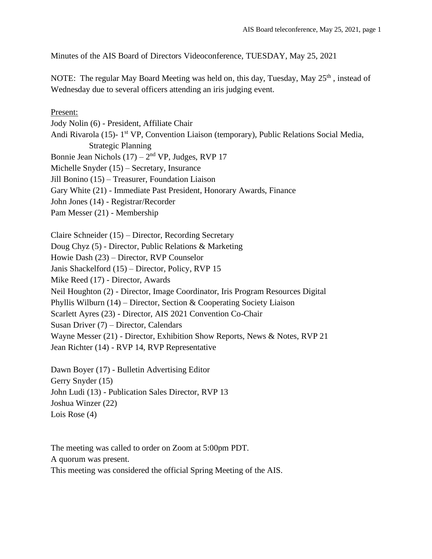Minutes of the AIS Board of Directors Videoconference, TUESDAY, May 25, 2021

NOTE: The regular May Board Meeting was held on, this day, Tuesday, May  $25<sup>th</sup>$ , instead of Wednesday due to several officers attending an iris judging event.

#### Present:

Jody Nolin (6) - President, Affiliate Chair Andi Rivarola (15)- 1<sup>st</sup> VP, Convention Liaison (temporary), Public Relations Social Media, Strategic Planning Bonnie Jean Nichols  $(17) - 2<sup>nd</sup> VP$ , Judges, RVP 17 Michelle Snyder (15) – Secretary, Insurance Jill Bonino (15) – Treasurer, Foundation Liaison Gary White (21) - Immediate Past President, Honorary Awards, Finance John Jones (14) - Registrar/Recorder Pam Messer (21) - Membership

Claire Schneider (15) – Director, Recording Secretary Doug Chyz (5) - Director, Public Relations & Marketing Howie Dash (23) – Director, RVP Counselor Janis Shackelford (15) – Director, Policy, RVP 15 Mike Reed (17) - Director, Awards Neil Houghton (2) - Director, Image Coordinator, Iris Program Resources Digital Phyllis Wilburn (14) – Director, Section & Cooperating Society Liaison Scarlett Ayres (23) - Director, AIS 2021 Convention Co-Chair Susan Driver (7) – Director, Calendars Wayne Messer (21) - Director, Exhibition Show Reports, News & Notes, RVP 21 Jean Richter (14) - RVP 14, RVP Representative

Dawn Boyer (17) - Bulletin Advertising Editor Gerry Snyder (15) John Ludi (13) - Publication Sales Director, RVP 13 Joshua Winzer (22) Lois Rose (4)

The meeting was called to order on Zoom at 5:00pm PDT. A quorum was present. This meeting was considered the official Spring Meeting of the AIS.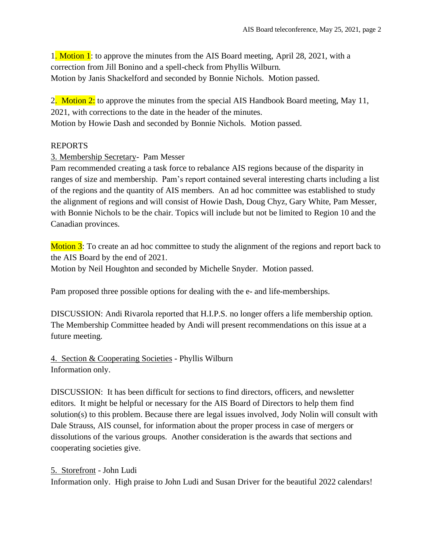1. Motion 1: to approve the minutes from the AIS Board meeting, April 28, 2021, with a correction from Jill Bonino and a spell-check from Phyllis Wilburn. Motion by Janis Shackelford and seconded by Bonnie Nichols. Motion passed.

2. Motion 2: to approve the minutes from the special AIS Handbook Board meeting, May 11, 2021, with corrections to the date in the header of the minutes. Motion by Howie Dash and seconded by Bonnie Nichols. Motion passed.

## REPORTS

3. Membership Secretary- Pam Messer

Pam recommended creating a task force to rebalance AIS regions because of the disparity in ranges of size and membership. Pam's report contained several interesting charts including a list of the regions and the quantity of AIS members. An ad hoc committee was established to study the alignment of regions and will consist of Howie Dash, Doug Chyz, Gary White, Pam Messer, with Bonnie Nichols to be the chair. Topics will include but not be limited to Region 10 and the Canadian provinces.

Motion 3: To create an ad hoc committee to study the alignment of the regions and report back to the AIS Board by the end of 2021. Motion by Neil Houghton and seconded by Michelle Snyder. Motion passed.

Pam proposed three possible options for dealing with the e- and life-memberships.

DISCUSSION: Andi Rivarola reported that H.I.P.S. no longer offers a life membership option. The Membership Committee headed by Andi will present recommendations on this issue at a future meeting.

4. Section & Cooperating Societies - Phyllis Wilburn Information only.

DISCUSSION: It has been difficult for sections to find directors, officers, and newsletter editors. It might be helpful or necessary for the AIS Board of Directors to help them find solution(s) to this problem. Because there are legal issues involved, Jody Nolin will consult with Dale Strauss, AIS counsel, for information about the proper process in case of mergers or dissolutions of the various groups. Another consideration is the awards that sections and cooperating societies give.

5. Storefront - John Ludi Information only. High praise to John Ludi and Susan Driver for the beautiful 2022 calendars!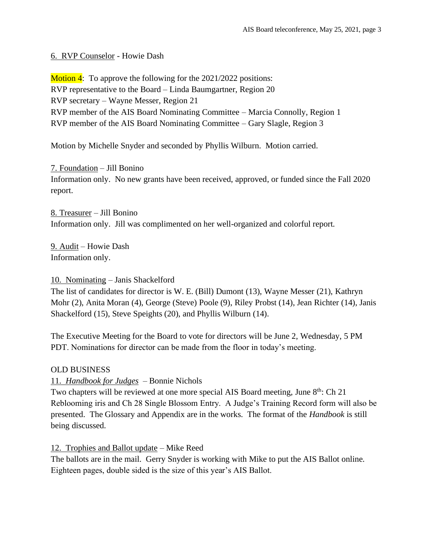### 6. RVP Counselor - Howie Dash

**Motion 4:** To approve the following for the  $2021/2022$  positions: RVP representative to the Board – Linda Baumgartner, Region 20 RVP secretary – Wayne Messer, Region 21 RVP member of the AIS Board Nominating Committee – Marcia Connolly, Region 1 RVP member of the AIS Board Nominating Committee – Gary Slagle, Region 3

Motion by Michelle Snyder and seconded by Phyllis Wilburn. Motion carried.

7. Foundation – Jill Bonino Information only. No new grants have been received, approved, or funded since the Fall 2020 report.

8. Treasurer – Jill Bonino Information only. Jill was complimented on her well-organized and colorful report.

9. Audit – Howie Dash Information only.

### 10. Nominating – Janis Shackelford

The list of candidates for director is W. E. (Bill) Dumont (13), Wayne Messer (21), Kathryn Mohr (2), Anita Moran (4), George (Steve) Poole (9), Riley Probst (14), Jean Richter (14), Janis Shackelford (15), Steve Speights (20), and Phyllis Wilburn (14).

The Executive Meeting for the Board to vote for directors will be June 2, Wednesday, 5 PM PDT. Nominations for director can be made from the floor in today's meeting.

### OLD BUSINESS

### 11. *Handbook for Judges* – Bonnie Nichols

Two chapters will be reviewed at one more special AIS Board meeting, June 8<sup>th</sup>: Ch 21 Reblooming iris and Ch 28 Single Blossom Entry. A Judge's Training Record form will also be presented. The Glossary and Appendix are in the works. The format of the *Handbook* is still being discussed.

### 12. Trophies and Ballot update – Mike Reed

The ballots are in the mail. Gerry Snyder is working with Mike to put the AIS Ballot online. Eighteen pages, double sided is the size of this year's AIS Ballot.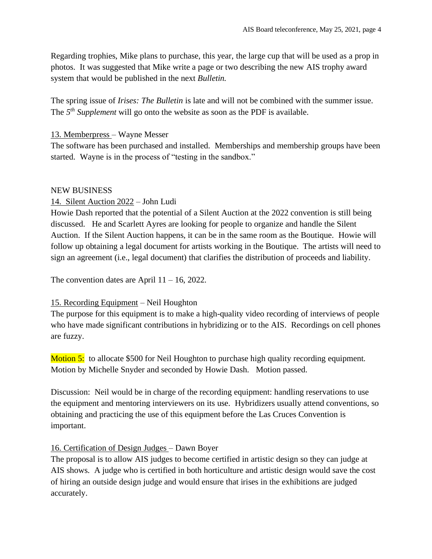Regarding trophies, Mike plans to purchase, this year, the large cup that will be used as a prop in photos. It was suggested that Mike write a page or two describing the new AIS trophy award system that would be published in the next *Bulletin.* 

The spring issue of *Irises: The Bulletin* is late and will not be combined with the summer issue. The  $5<sup>th</sup>$  *Supplement* will go onto the website as soon as the PDF is available.

### 13. Memberpress – Wayne Messer

The software has been purchased and installed. Memberships and membership groups have been started. Wayne is in the process of "testing in the sandbox."

### NEW BUSINESS

# 14. Silent Auction 2022 – John Ludi

Howie Dash reported that the potential of a Silent Auction at the 2022 convention is still being discussed. He and Scarlett Ayres are looking for people to organize and handle the Silent Auction. If the Silent Auction happens, it can be in the same room as the Boutique. Howie will follow up obtaining a legal document for artists working in the Boutique. The artists will need to sign an agreement (i.e., legal document) that clarifies the distribution of proceeds and liability.

The convention dates are April  $11 - 16$ , 2022.

### 15. Recording Equipment – Neil Houghton

The purpose for this equipment is to make a high-quality video recording of interviews of people who have made significant contributions in hybridizing or to the AIS. Recordings on cell phones are fuzzy.

Motion 5: to allocate \$500 for Neil Houghton to purchase high quality recording equipment. Motion by Michelle Snyder and seconded by Howie Dash. Motion passed.

Discussion: Neil would be in charge of the recording equipment: handling reservations to use the equipment and mentoring interviewers on its use. Hybridizers usually attend conventions, so obtaining and practicing the use of this equipment before the Las Cruces Convention is important.

# 16. Certification of Design Judges – Dawn Boyer

The proposal is to allow AIS judges to become certified in artistic design so they can judge at AIS shows. A judge who is certified in both horticulture and artistic design would save the cost of hiring an outside design judge and would ensure that irises in the exhibitions are judged accurately.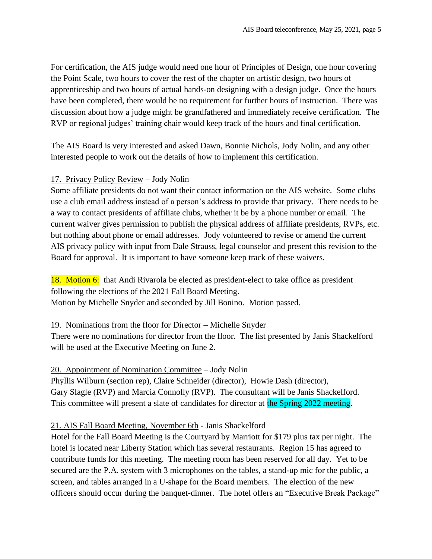For certification, the AIS judge would need one hour of Principles of Design, one hour covering the Point Scale, two hours to cover the rest of the chapter on artistic design, two hours of apprenticeship and two hours of actual hands-on designing with a design judge. Once the hours have been completed, there would be no requirement for further hours of instruction. There was discussion about how a judge might be grandfathered and immediately receive certification. The RVP or regional judges' training chair would keep track of the hours and final certification.

The AIS Board is very interested and asked Dawn, Bonnie Nichols, Jody Nolin, and any other interested people to work out the details of how to implement this certification.

## 17. Privacy Policy Review – Jody Nolin

Some affiliate presidents do not want their contact information on the AIS website. Some clubs use a club email address instead of a person's address to provide that privacy. There needs to be a way to contact presidents of affiliate clubs, whether it be by a phone number or email. The current waiver gives permission to publish the physical address of affiliate presidents, RVPs, etc. but nothing about phone or email addresses. Jody volunteered to revise or amend the current AIS privacy policy with input from Dale Strauss, legal counselor and present this revision to the Board for approval. It is important to have someone keep track of these waivers.

18. Motion 6: that Andi Rivarola be elected as president-elect to take office as president following the elections of the 2021 Fall Board Meeting. Motion by Michelle Snyder and seconded by Jill Bonino. Motion passed.

19. Nominations from the floor for Director – Michelle Snyder There were no nominations for director from the floor. The list presented by Janis Shackelford will be used at the Executive Meeting on June 2.

### 20. Appointment of Nomination Committee – Jody Nolin

Phyllis Wilburn (section rep), Claire Schneider (director), Howie Dash (director), Gary Slagle (RVP) and Marcia Connolly (RVP). The consultant will be Janis Shackelford. This committee will present a slate of candidates for director at the Spring 2022 meeting.

# 21. AIS Fall Board Meeting, November 6th - Janis Shackelford

Hotel for the Fall Board Meeting is the Courtyard by Marriott for \$179 plus tax per night. The hotel is located near Liberty Station which has several restaurants. Region 15 has agreed to contribute funds for this meeting. The meeting room has been reserved for all day. Yet to be secured are the P.A. system with 3 microphones on the tables, a stand-up mic for the public, a screen, and tables arranged in a U-shape for the Board members. The election of the new officers should occur during the banquet-dinner. The hotel offers an "Executive Break Package"